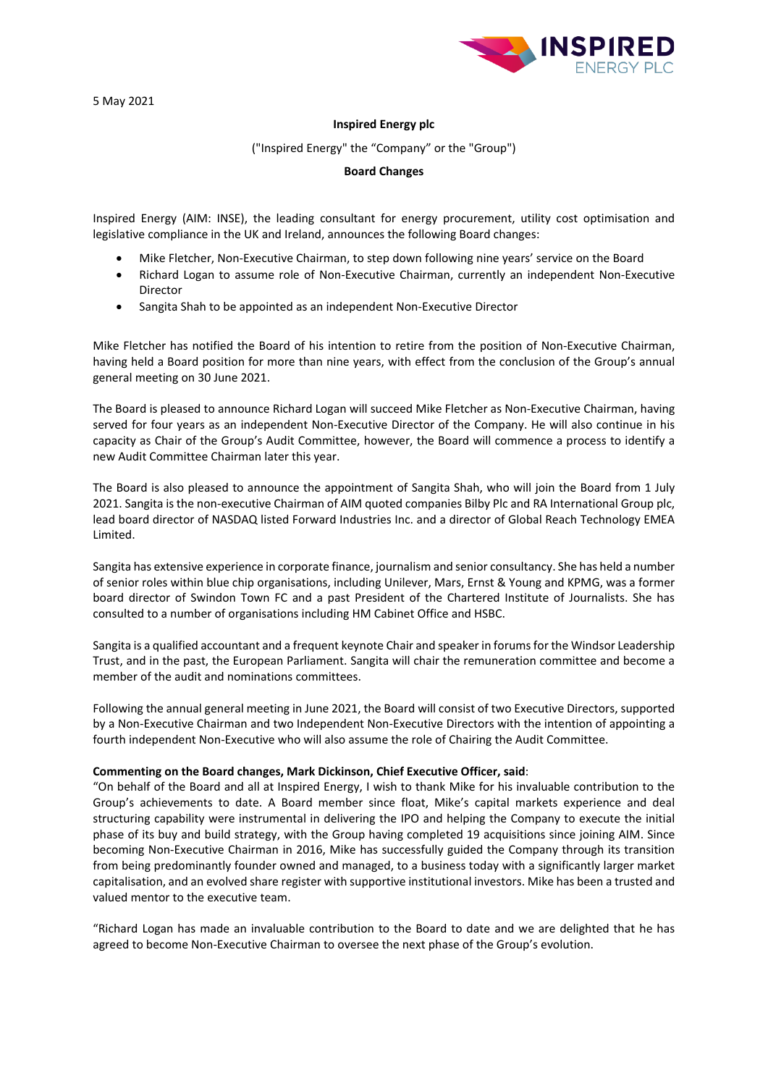5 May 2021



# **Inspired Energy plc**

### ("Inspired Energy" the "Company" or the "Group")

## **Board Changes**

Inspired Energy (AIM: INSE), the leading consultant for energy procurement, utility cost optimisation and legislative compliance in the UK and Ireland, announces the following Board changes:

- Mike Fletcher, Non-Executive Chairman, to step down following nine years' service on the Board
- Richard Logan to assume role of Non-Executive Chairman, currently an independent Non-Executive Director
- Sangita Shah to be appointed as an independent Non-Executive Director

Mike Fletcher has notified the Board of his intention to retire from the position of Non-Executive Chairman, having held a Board position for more than nine years, with effect from the conclusion of the Group's annual general meeting on 30 June 2021.

The Board is pleased to announce Richard Logan will succeed Mike Fletcher as Non-Executive Chairman, having served for four years as an independent Non-Executive Director of the Company. He will also continue in his capacity as Chair of the Group's Audit Committee, however, the Board will commence a process to identify a new Audit Committee Chairman later this year.

The Board is also pleased to announce the appointment of Sangita Shah, who will join the Board from 1 July 2021. Sangita is the non-executive Chairman of AIM quoted companies Bilby Plc and RA International Group plc, lead board director of NASDAQ listed Forward Industries Inc. and a director of Global Reach Technology EMEA Limited.

Sangita has extensive experience in corporate finance, journalism and senior consultancy. She has held a number of senior roles within blue chip organisations, including Unilever, Mars, Ernst & Young and KPMG, was a former board director of Swindon Town FC and a past President of the Chartered Institute of Journalists. She has consulted to a number of organisations including HM Cabinet Office and HSBC.

Sangita is a qualified accountant and a frequent keynote Chair and speaker in forums for the Windsor Leadership Trust, and in the past, the European Parliament. Sangita will chair the remuneration committee and become a member of the audit and nominations committees.

Following the annual general meeting in June 2021, the Board will consist of two Executive Directors, supported by a Non-Executive Chairman and two Independent Non-Executive Directors with the intention of appointing a fourth independent Non-Executive who will also assume the role of Chairing the Audit Committee.

## **Commenting on the Board changes, Mark Dickinson, Chief Executive Officer, said**:

"On behalf of the Board and all at Inspired Energy, I wish to thank Mike for his invaluable contribution to the Group's achievements to date. A Board member since float, Mike's capital markets experience and deal structuring capability were instrumental in delivering the IPO and helping the Company to execute the initial phase of its buy and build strategy, with the Group having completed 19 acquisitions since joining AIM. Since becoming Non-Executive Chairman in 2016, Mike has successfully guided the Company through its transition from being predominantly founder owned and managed, to a business today with a significantly larger market capitalisation, and an evolved share register with supportive institutional investors. Mike has been a trusted and valued mentor to the executive team.

"Richard Logan has made an invaluable contribution to the Board to date and we are delighted that he has agreed to become Non-Executive Chairman to oversee the next phase of the Group's evolution.